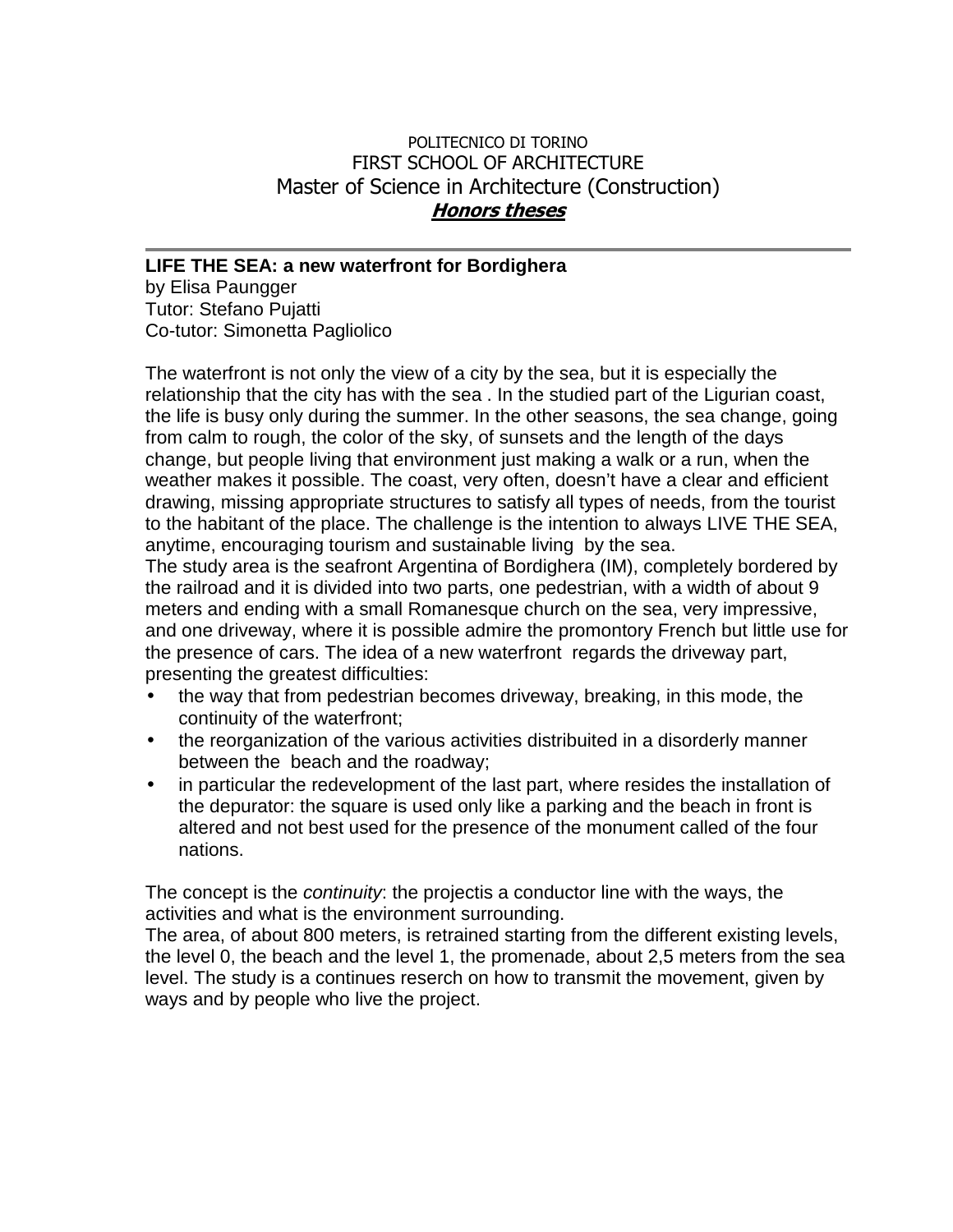## POLITECNICO DI TORINO FIRST SCHOOL OF ARCHITECTURE Master of Science in Architecture (Construction) **Honors theses**

## **LIFE THE SEA: a new waterfront for Bordighera**

by Elisa Paungger Tutor: Stefano Pujatti Co-tutor: Simonetta Pagliolico

The waterfront is not only the view of a city by the sea, but it is especially the relationship that the city has with the sea . In the studied part of the Ligurian coast, the life is busy only during the summer. In the other seasons, the sea change, going from calm to rough, the color of the sky, of sunsets and the length of the days change, but people living that environment just making a walk or a run, when the weather makes it possible. The coast, very often, doesn't have a clear and efficient drawing, missing appropriate structures to satisfy all types of needs, from the tourist to the habitant of the place. The challenge is the intention to always LIVE THE SEA, anytime, encouraging tourism and sustainable living by the sea.

The study area is the seafront Argentina of Bordighera (IM), completely bordered by the railroad and it is divided into two parts, one pedestrian, with a width of about 9 meters and ending with a small Romanesque church on the sea, very impressive, and one driveway, where it is possible admire the promontory French but little use for the presence of cars. The idea of a new waterfront regards the driveway part, presenting the greatest difficulties:

- the way that from pedestrian becomes driveway, breaking, in this mode, the continuity of the waterfront;
- the reorganization of the various activities distribuited in a disorderly manner between the beach and the roadway;
- in particular the redevelopment of the last part, where resides the installation of the depurator: the square is used only like a parking and the beach in front is altered and not best used for the presence of the monument called of the four nations.

The concept is the *continuity*: the projectis a conductor line with the ways, the activities and what is the environment surrounding.

The area, of about 800 meters, is retrained starting from the different existing levels, the level 0, the beach and the level 1, the promenade, about 2,5 meters from the sea level. The study is a continues reserch on how to transmit the movement, given by ways and by people who live the project.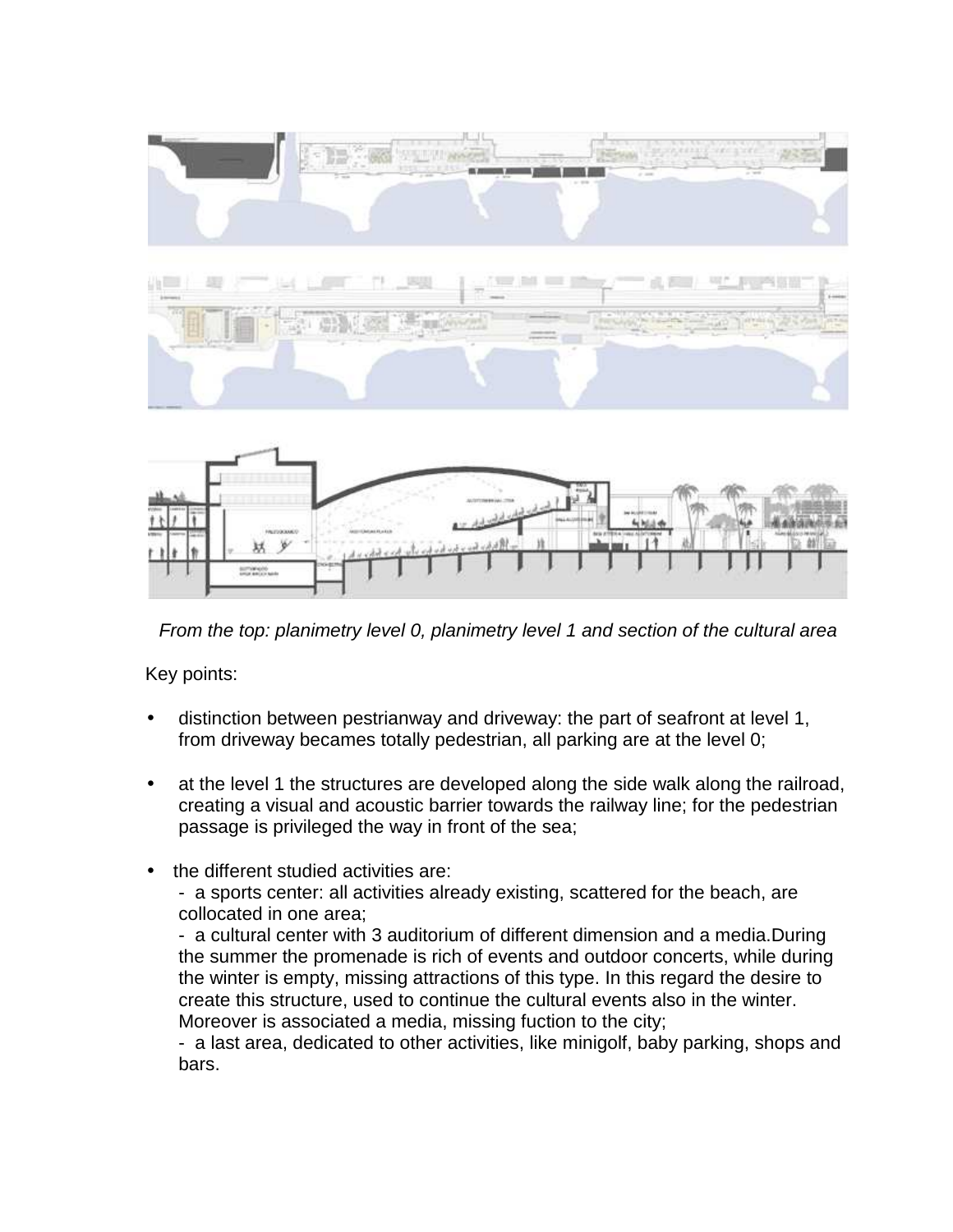





From the top: planimetry level 0, planimetry level 1 and section of the cultural area

Key points:

- distinction between pestrianway and driveway: the part of seafront at level 1, from driveway becames totally pedestrian, all parking are at the level 0;
- at the level 1 the structures are developed along the side walk along the railroad, creating a visual and acoustic barrier towards the railway line; for the pedestrian passage is privileged the way in front of the sea;
- the different studied activities are:
	- a sports center: all activities already existing, scattered for the beach, are collocated in one area;

- a cultural center with 3 auditorium of different dimension and a media.During the summer the promenade is rich of events and outdoor concerts, while during the winter is empty, missing attractions of this type. In this regard the desire to create this structure, used to continue the cultural events also in the winter. Moreover is associated a media, missing fuction to the city;

- a last area, dedicated to other activities, like minigolf, baby parking, shops and bars.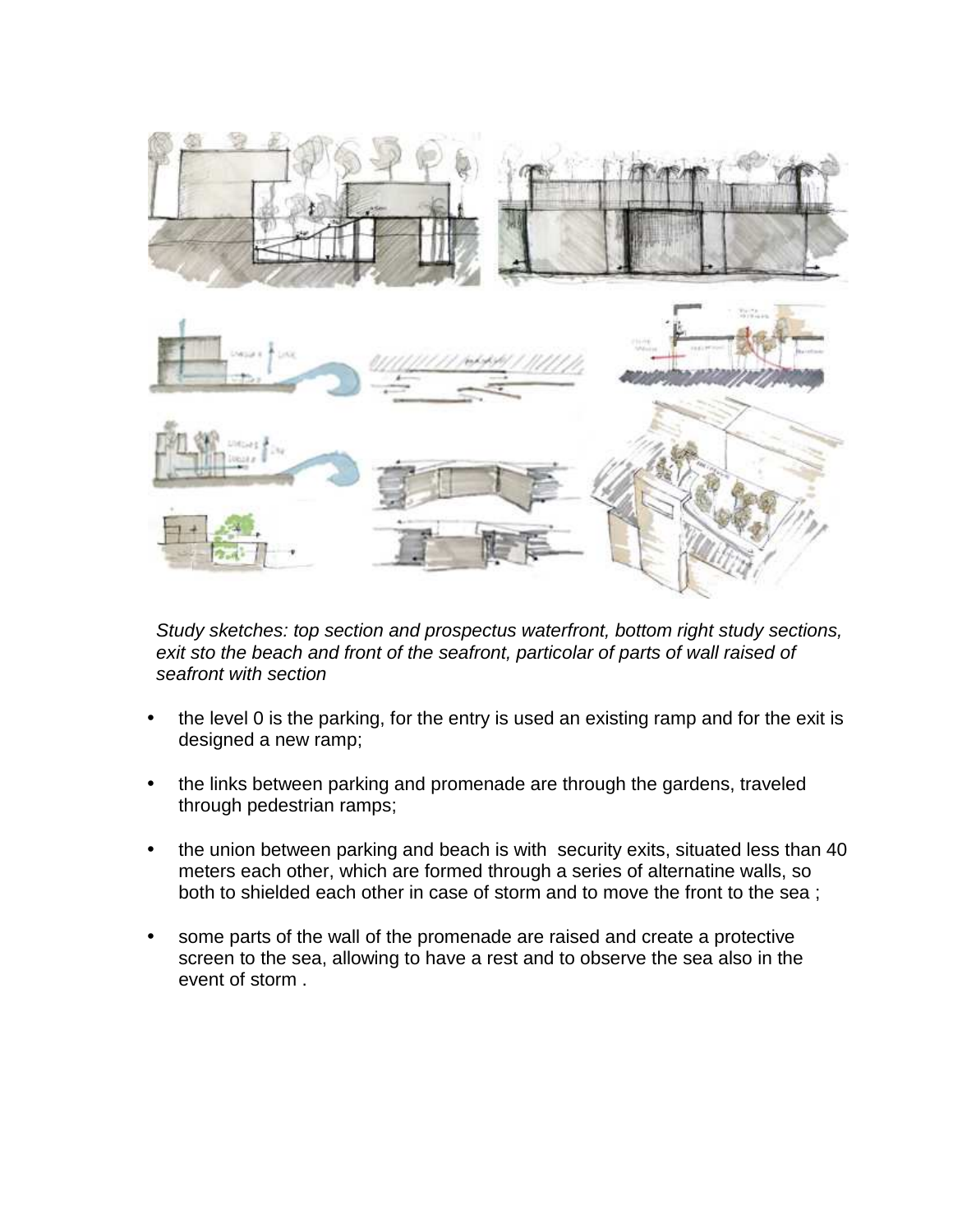

Study sketches: top section and prospectus waterfront, bottom right study sections, exit sto the beach and front of the seafront, particolar of parts of wall raised of seafront with section

- the level 0 is the parking, for the entry is used an existing ramp and for the exit is designed a new ramp;
- the links between parking and promenade are through the gardens, traveled through pedestrian ramps;
- the union between parking and beach is with security exits, situated less than 40 meters each other, which are formed through a series of alternatine walls, so both to shielded each other in case of storm and to move the front to the sea ;
- some parts of the wall of the promenade are raised and create a protective screen to the sea, allowing to have a rest and to observe the sea also in the event of storm .